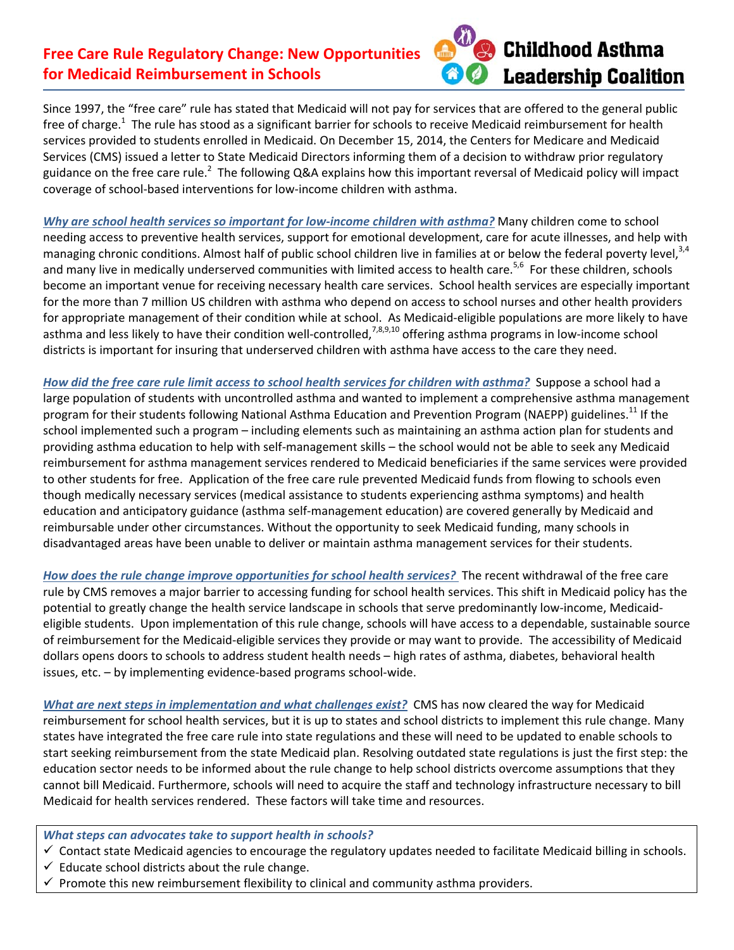## **Free Care Rule Regulatory Change: New Opportunities for Medicaid Reimbursement in Schools**



Since 1997, the "free care" rule has stated that Medicaid will not pay for services that are offered to the general public free of charge.<sup>1</sup> The rule has stood as a significant barrier for schools to receive Medicaid reimbursement for health services provided to students enrolled in Medicaid. On December 15, 2014, the Centers for Medicare and Medicaid Services (CMS) issued a letter to State Medicaid Directors informing them of a decision to withdraw prior regulatory guidance on the free care rule.<sup>2</sup> The following Q&A explains how this important reversal of Medicaid policy will impact coverage of school-based interventions for low-income children with asthma.

*Why are school health services so important for lowͲincome children with asthma?* Many children come to school needing access to preventive health services, support for emotional development, care for acute illnesses, and help with managing chronic conditions. Almost half of public school children live in families at or below the federal poverty level,  $3,4$ and many live in medically underserved communities with limited access to health care.<sup>5,6</sup> For these children, schools become an important venue for receiving necessary health care services. School health services are especially important for the more than 7 million US children with asthma who depend on access to school nurses and other health providers for appropriate management of their condition while at school. As Medicaid-eligible populations are more likely to have asthma and less likely to have their condition well-controlled,<sup>7,8,9,10</sup> offering asthma programs in low-income school districts is important for insuring that underserved children with asthma have access to the care they need.

How did the free care rule limit access to school health services for children with asthma? Suppose a school had a large population of students with uncontrolled asthma and wanted to implement a comprehensive asthma management program for their students following National Asthma Education and Prevention Program (NAEPP) guidelines.<sup>11</sup> If the school implemented such a program – including elements such as maintaining an asthma action plan for students and providing asthma education to help with self-management skills – the school would not be able to seek any Medicaid reimbursement for asthma management services rendered to Medicaid beneficiaries if the same services were provided to other students for free. Application of the free care rule prevented Medicaid funds from flowing to schools even though medically necessary services (medical assistance to students experiencing asthma symptoms) and health education and anticipatory guidance (asthma self-management education) are covered generally by Medicaid and reimbursable under other circumstances. Without the opportunity to seek Medicaid funding, many schools in disadvantaged areas have been unable to deliver or maintain asthma management services for their students.

*How does the rule change improve opportunities for school health services?*The recent withdrawal of the free care rule by CMS removes a major barrier to accessing funding for school health services. This shift in Medicaid policy has the potential to greatly change the health service landscape in schools that serve predominantly low-income, Medicaideligible students.Upon implementation of this rule change, schools will have access to a dependable, sustainable source of reimbursement for the Medicaid-eligible services they provide or may want to provide. The accessibility of Medicaid dollars opens doors to schools to address student health needs – high rates of asthma, diabetes, behavioral health issues, etc. – by implementing evidence-based programs school-wide.

*What are next steps in implementation and what challenges exist?*CMS has now cleared the way for Medicaid reimbursement for school health services, but it is up to states and school districts to implement this rule change. Many states have integrated the free care rule into state regulations and these will need to be updated to enable schools to start seeking reimbursement from the state Medicaid plan. Resolving outdated state regulations is just the first step: the education sector needs to be informed about the rule change to help school districts overcome assumptions that they cannot bill Medicaid. Furthermore, schools will need to acquire the staff and technology infrastructure necessary to bill Medicaid for health services rendered. These factors will take time and resources.

*What steps can advocates take to support health in schools?*

- $\checkmark$  Contact state Medicaid agencies to encourage the regulatory updates needed to facilitate Medicaid billing in schools.
- $\checkmark$  Educate school districts about the rule change.
- $\checkmark$  Promote this new reimbursement flexibility to clinical and community asthma providers.